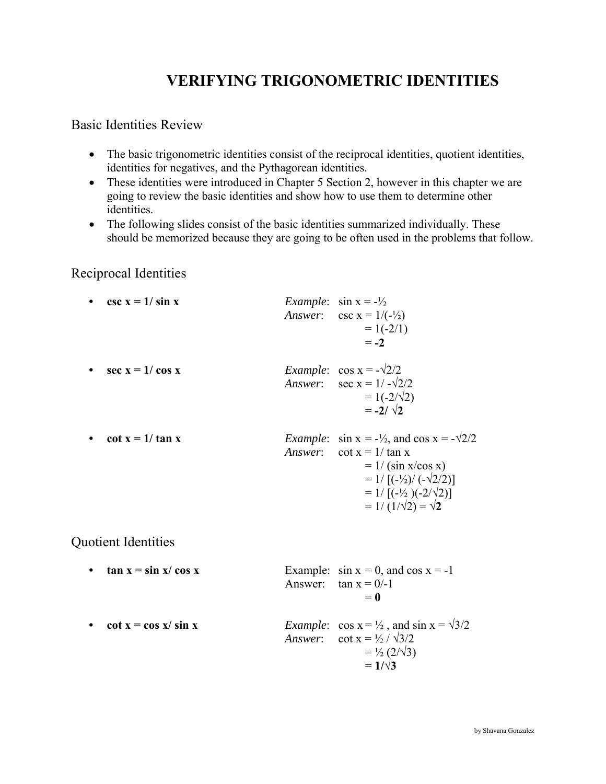# **VERIFYING TRIGONOMETRIC IDENTITIES**

## Basic Identities Review

- The basic trigonometric identities consist of the reciprocal identities, quotient identities, identities for negatives, and the Pythagorean identities.
- These identities were introduced in Chapter 5 Section 2, however in this chapter we are going to review the basic identities and show how to use them to determine other identities.
- The following slides consist of the basic identities summarized individually. These should be memorized because they are going to be often used in the problems that follow.

### Reciprocal Identities

• csc  $x = 1/\sin x$  *Example*:  $\sin x = -\frac{1}{2}$ *Answer*:  $\csc x = 1/(-\frac{1}{2})$  $= 1(-2/1)$  $=-2$ • sec  $x = 1/\cos x$  *Example*:  $\cos x = -\sqrt{2}/2$ *Answer*:  $\sec x = 1 / -\sqrt{2}/2$  $= 1(-2/\sqrt{2})$  $=-2/\sqrt{2}$ • cot  $x = 1/\tan x$  *Example*:  $\sin x = -\frac{1}{2}$ , and  $\cos x = -\frac{\sqrt{2}}{2}$ *Answer*:  $\cot x = 1/\tan x$  $= 1/(sin x/cos x)$  $= 1/ \left[ (-\frac{1}{2}) / (-\sqrt{2}/2) \right]$  $= 1/[(-1/2)(-2/1/2)]$  $= 1/(1/\sqrt{2}) = \sqrt{2}$ 

# Quotient Identities

**• tan**  $x = \sin x / \cos x$  Example:  $\sin x = 0$ , and  $\cos x = -1$ Answer:  $\tan x = 0/-1$  $= 0$ • cot  $x = \cos x / \sin x$  *Example*:  $\cos x = \frac{1}{2}$ , and  $\sin x = \frac{\sqrt{3}}{2}$ *Answer*: cot  $x = \frac{1}{2} / \sqrt{3}/2$ 

> $= \frac{1}{2} (2/\sqrt{3})$  $= 1/\sqrt{3}$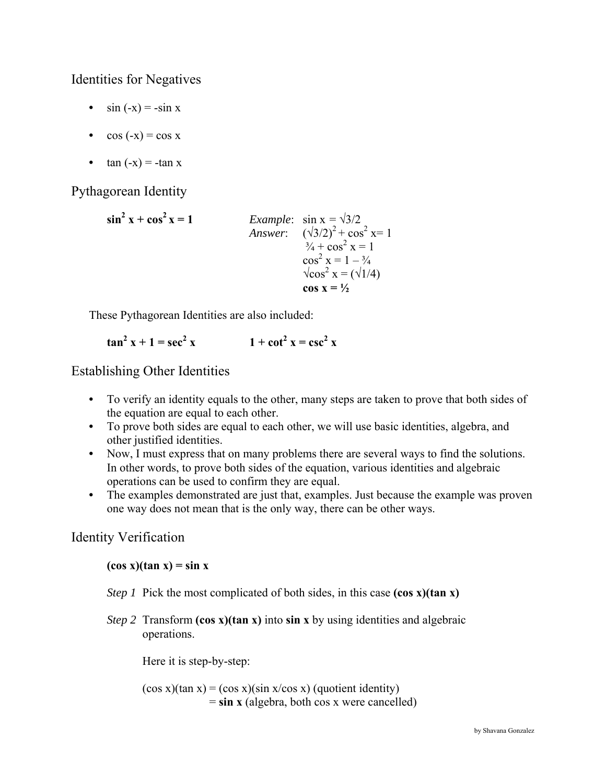Identities for Negatives

- $\sin(-x) = -\sin x$
- $\cos(-x) = \cos x$
- $\tan(-x) = -\tan x$

Pythagorean Identity

 $\sin^2 x + \cos^2 x = 1$ *Example*:  $\sin x = \sqrt{3}/2$ *Answer*:  $(\sqrt{3}/2)^2 + \cos^2 x = 1$  $\frac{3}{4} + \cos^2 x = 1$ cos<sup>cos</sup>  $2 x = 1 - \frac{3}{4}$  $\sqrt{\cos \theta}$ <sup>2</sup> x =  $(\sqrt{1/4})$ **cos**  $x = \frac{1}{2}$ 

These Pythagorean Identities are also included:

$$
\tan^2 x + 1 = \sec^2 x \qquad \qquad 1 + \cot^2 x = \csc^2 x
$$

Establishing Other Identities

- **•** To verify an identity equals to the other, many steps are taken to prove that both sides of the equation are equal to each other.
- **•** To prove both sides are equal to each other, we will use basic identities, algebra, and other justified identities.
- **•** Now, I must express that on many problems there are several ways to find the solutions. In other words, to prove both sides of the equation, various identities and algebraic operations can be used to confirm they are equal.
- **•** The examples demonstrated are just that, examples. Just because the example was proven one way does not mean that is the only way, there can be other ways.

# Identity Verification

## $(cos x)(tan x) = sin x$

- *Step 1* Pick the most complicated of both sides, in this case (cos x)(tan x)
- *Step 2* Transform **(cos x)(tan x)** into **sin x** by using identities and algebraic operations.

Here it is step-by-step:

 $(cos x)(tan x) = (cos x)(sin x/cos x)$  (quotient identity) = **sin x** (algebra, both cos x were cancelled)